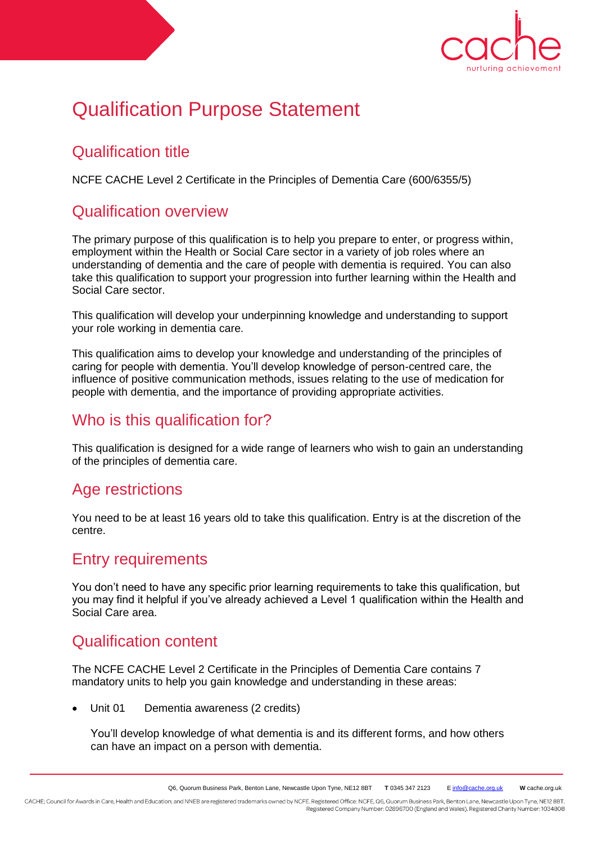

# Qualification Purpose Statement

## Qualification title

NCFE CACHE Level 2 Certificate in the Principles of Dementia Care (600/6355/5)

## Qualification overview

The primary purpose of this qualification is to help you prepare to enter, or progress within, employment within the Health or Social Care sector in a variety of job roles where an understanding of dementia and the care of people with dementia is required. You can also take this qualification to support your progression into further learning within the Health and Social Care sector.

This qualification will develop your underpinning knowledge and understanding to support your role working in dementia care.

This qualification aims to develop your knowledge and understanding of the principles of caring for people with dementia. You'll develop knowledge of person-centred care, the influence of positive communication methods, issues relating to the use of medication for people with dementia, and the importance of providing appropriate activities.

#### Who is this qualification for?

This qualification is designed for a wide range of learners who wish to gain an understanding of the principles of dementia care.

#### Age restrictions

You need to be at least 16 years old to take this qualification. Entry is at the discretion of the centre.

#### Entry requirements

You don't need to have any specific prior learning requirements to take this qualification, but you may find it helpful if you've already achieved a Level 1 qualification within the Health and Social Care area.

## Qualification content

The NCFE CACHE Level 2 Certificate in the Principles of Dementia Care contains 7 mandatory units to help you gain knowledge and understanding in these areas:

Unit 01 Dementia awareness (2 credits)

You'll develop knowledge of what dementia is and its different forms, and how others can have an impact on a person with dementia.

CACHE; Council for Awards in Care, Health and Education; and NNEB are registered trademarks owned by NCFE. Registered Office: NCFE, Q6, Quorum Business Park, Benton Lane, Newcastle Upon Tyne, NE12 8BT. Registered Company Number: 02896700 (England and Wales). Registered Charity Number: 1034808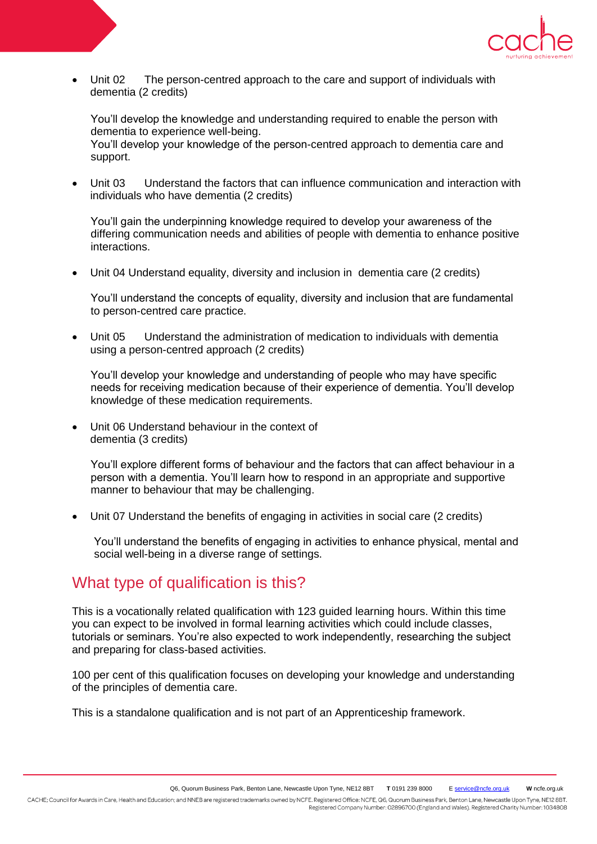

 Unit 02 The person-centred approach to the care and support of individuals with dementia (2 credits)

You'll develop the knowledge and understanding required to enable the person with dementia to experience well-being.

You'll develop your knowledge of the person-centred approach to dementia care and support.

 Unit 03 Understand the factors that can influence communication and interaction with individuals who have dementia (2 credits)

You'll gain the underpinning knowledge required to develop your awareness of the differing communication needs and abilities of people with dementia to enhance positive interactions.

Unit 04 Understand equality, diversity and inclusion in dementia care (2 credits)

You'll understand the concepts of equality, diversity and inclusion that are fundamental to person-centred care practice.

 Unit 05 Understand the administration of medication to individuals with dementia using a person-centred approach (2 credits)

You'll develop your knowledge and understanding of people who may have specific needs for receiving medication because of their experience of dementia. You'll develop knowledge of these medication requirements.

 Unit 06 Understand behaviour in the context of dementia (3 credits)

You'll explore different forms of behaviour and the factors that can affect behaviour in a person with a dementia. You'll learn how to respond in an appropriate and supportive manner to behaviour that may be challenging.

Unit 07 Understand the benefits of engaging in activities in social care (2 credits)

You'll understand the benefits of engaging in activities to enhance physical, mental and social well-being in a diverse range of settings.

#### What type of qualification is this?

This is a vocationally related qualification with 123 guided learning hours. Within this time you can expect to be involved in formal learning activities which could include classes, tutorials or seminars. You're also expected to work independently, researching the subject and preparing for class-based activities.

100 per cent of this qualification focuses on developing your knowledge and understanding of the principles of dementia care.

This is a standalone qualification and is not part of an Apprenticeship framework.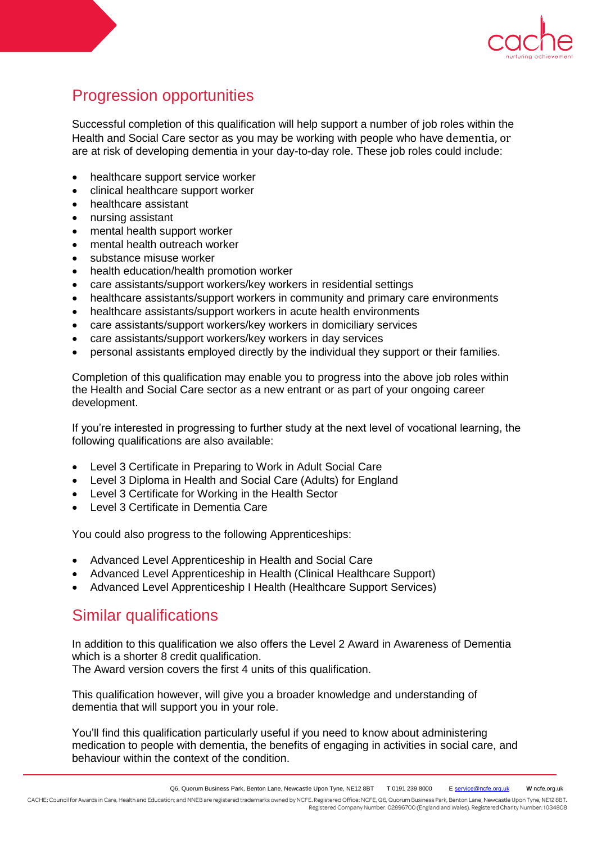

# Progression opportunities

Successful completion of this qualification will help support a number of job roles within the Health and Social Care sector as you may be working with people who have dementia, or are at risk of developing dementia in your day-to-day role. These job roles could include:

- healthcare support service worker
- clinical healthcare support worker
- healthcare assistant
- nursing assistant
- mental health support worker
- mental health outreach worker
- substance misuse worker
- health education/health promotion worker
- care assistants/support workers/key workers in residential settings
- healthcare assistants/support workers in community and primary care environments
- healthcare assistants/support workers in acute health environments
- care assistants/support workers/key workers in domiciliary services
- care assistants/support workers/key workers in day services
- personal assistants employed directly by the individual they support or their families.

Completion of this qualification may enable you to progress into the above job roles within the Health and Social Care sector as a new entrant or as part of your ongoing career development.

If you're interested in progressing to further study at the next level of vocational learning, the following qualifications are also available:

- Level 3 Certificate in Preparing to Work in Adult Social Care
- Level 3 Diploma in Health and Social Care (Adults) for England
- Level 3 Certificate for Working in the Health Sector
- Level 3 Certificate in Dementia Care

You could also progress to the following Apprenticeships:

- Advanced Level Apprenticeship in Health and Social Care
- Advanced Level Apprenticeship in Health (Clinical Healthcare Support)
- Advanced Level Apprenticeship I Health (Healthcare Support Services)

#### Similar qualifications

In addition to this qualification we also offers the Level 2 Award in Awareness of Dementia which is a shorter 8 credit qualification.

The Award version covers the first 4 units of this qualification.

This qualification however, will give you a broader knowledge and understanding of dementia that will support you in your role.

You'll find this qualification particularly useful if you need to know about administering medication to people with dementia, the benefits of engaging in activities in social care, and behaviour within the context of the condition.